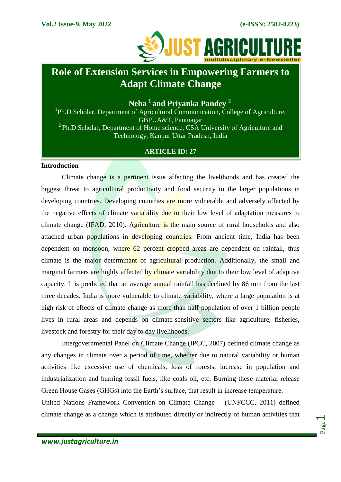Page  $\overline{\phantom{0}}$ 



# **Role of Extension Services in Empowering Farmers to Adapt Climate Change**

**Neha <sup>1</sup>and Priyanka Pandey <sup>2</sup>**

<sup>1</sup>Ph.D Scholar, Department of Agricultural Communication, College of Agriculture, GBPUA&T, Pantnagar  $2$ Ph.D Scholar, Department of Home science, CSA University of Agriculture and Technology, Kanpur Uttar Pradesh, India

# **ARTICLE ID: 27**

#### **Introduction**

Climate change is a pertinent issue affecting the livelihoods and has created the biggest threat to agricultural productivity and food security to the larger populations in developing countries. Developing countries are more vulnerable and adversely affected by the negative effects of climate variability due to their low level of adaptation measures to climate change (IFAD, 2010). Agriculture is the main source of rural households and also attached urban populations in developing countries. From ancient time, India has been dependent on monsoon, where 62 percent cropped areas are dependent on rainfall, thus climate is the major determinant of agricultural production. Additionally, the small and marginal farmers are highly affected by climate variability due to their low level of adaptive capacity. It is predicted that an average annual rainfall has declined by 86 mm from the last three decades. India is more vulnerable to climate variability, where a large population is at high risk of effects of climate change as more than half population of over 1 billion people lives in rural areas and depends on climate-sensitive sectors like agriculture, fisheries, livestock and forestry for their day to day livelihoods.

Intergovernmental Panel on Climate Change (IPCC, 2007) defined climate change as any changes in climate over a period of time, whether due to natural variability or human activities like excessive use of chemicals, loss of forests, increase in population and industrialization and burning fossil fuels, like coals oil, etc. Burning these material release Green House Gases (GHGs) into the Earth's surface, that result in increase temperature.

United Nations Framework Convention on Climate Change (UNFCCC, 2011) defined climate change as a change which is attributed directly or indirectly of human activities that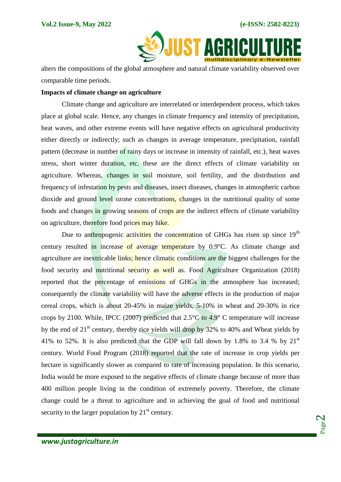Page  $\boldsymbol{\sim}$ 



alters the compositions of the global atmosphere and natural climate variability observed over comparable time periods.

#### **Impacts of climate change on agriculture**

Climate change and agriculture are interrelated or interdependent process, which takes place at global scale. Hence, any changes in climate frequency and intensity of precipitation, heat waves, and other extreme events will have negative effects on agricultural productivity either directly or indirectly; such as changes in average temperature, precipitation, rainfall pattern (decrease in number of rainy days or increase in intensity of rainfall, etc.), heat waves stress, short winter duration, etc. these are the direct effects of climate variability on agriculture. Whereas, changes in soil moisture, soil fertility, and the distribution and frequency of infestation by pests and diseases, insect diseases, changes in atmospheric carbon dioxide and ground level ozone concentrations, changes in the nutritional quality of some foods and changes in growing seasons of crops are the indirect effects of climate variability on agriculture, therefore food prices may hike.

Due to anthropogenic activities the concentration of GHGs has risen up since  $19<sup>th</sup>$ century resulted in increase of average temperature by 0.9°C. As climate change and agriculture are inextricable links; hence climatic conditions are the biggest challenges for the food security and nutritional security as well as. Food Agriculture Organization (2018) reported that the percentage of emissions of GHGs in the atmosphere has increased; consequently the climate variability will have the adverse effects in the production of major cereal crops, which is about 20-45% in maize yields, 5-10% in wheat and 20-30% in rice crops by 2100. While, IPCC (2007) predicted that  $2.5^{\circ}$ C to  $4.9^{\circ}$  C temperature will increase by the end of  $21<sup>st</sup>$  century, thereby rice yields will drop by 32% to 40% and Wheat yields by 41% to 52%. It is also predicted that the GDP will fall down by 1.8% to 3.4 % by  $21^{st}$ century. World Food Program (2018) reported that the rate of increase in crop yields per hectare is significantly slower as compared to rate of increasing population. In this scenario, India would be more exposed to the negative effects of climate change because of more than 400 million people living in the condition of extremely poverty. Therefore, the climate change could be a threat to agriculture and in achieving the goal of food and nutritional security to the larger population by  $21<sup>st</sup>$  century.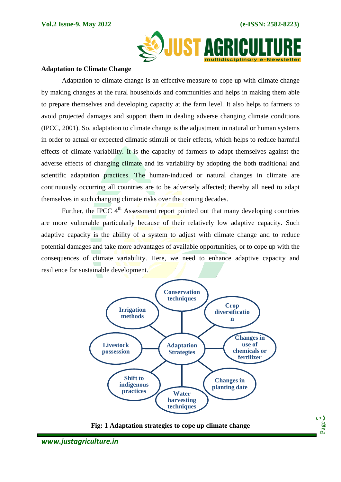Page. (۱ ت



# **Adaptation to Climate Change**

Adaptation to climate change is an effective measure to cope up with climate change by making changes at the rural households and communities and helps in making them able to prepare themselves and developing capacity at the farm level. It also helps to farmers to avoid projected damages and support them in dealing adverse changing climate conditions (IPCC, 2001). So, adaptation to climate change is the adjustment in natural or human systems in order to actual or expected climatic stimuli or their effects, which helps to reduce harmful effects of climate variability. It is the capacity of farmers to adapt themselves against the adverse effects of changing climate and its variability by adopting the both traditional and scientific adaptation practices. The human-induced or natural changes in climate are continuously occurring all countries are to be adversely affected; thereby all need to adapt themselves in such changing climate risks over the coming decades.

Further, the IPCC  $4<sup>th</sup>$  Assessment report pointed out that many developing countries are more vulnerable particularly because of their relatively low adaptive capacity. Such adaptive capacity is the ability of a system to adjust with climate change and to reduce potential damages and take more advantages of available opportunities, or to cope up with the consequences of climate variability. Here, we need to enhance adaptive capacity and resilience for sustainable development.



**Fig: 1 Adaptation strategies to cope up climate change**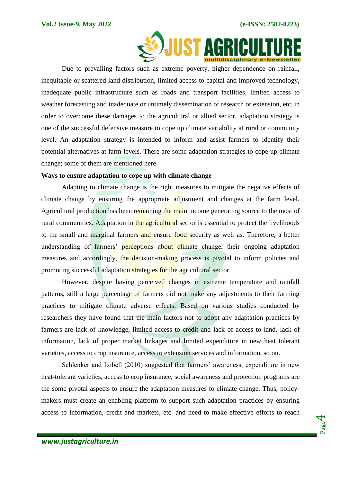

Due to prevailing factors such as extreme poverty, higher dependence on rainfall, inequitable or scattered land distribution, limited access to capital and improved technology, inadequate public infrastructure such as roads and transport facilities, limited access to weather forecasting and inadequate or untimely dissemination of research or extension, etc. in order to overcome these damages to the agricultural or allied sector, adaptation strategy is one of the successful defensive measure to cope up climate variability at rural or community level. An adaptation strategy is intended to inform and assist farmers to identify their potential alternatives at farm levels. There are some adaptation strategies to cope up climate change; some of them are mentioned here.

#### **Ways to ensure adaptation to cope up with climate change**

Adapting to climate change is the right measures to mitigate the negative effects of climate change by ensuring the appropriate adjustment and changes at the farm level. Agricultural production has been remaining the main income generating source to the most of rural communities. Adaptation in the agricultural sector is essential to protect the livelihoods to the small and marginal farmers and ensure food security as well as. Therefore, a better understanding of farmers' perceptions about climate change, their ongoing adaptation measures and accordingly, the decision-making process is pivotal to inform policies and promoting successful adaptation strategies for the agricultural sector.

However, despite having perceived changes in extreme temperature and rainfall patterns, still a large percentage of farmers did not make any adjustments to their farming practices to mitigate climate adverse effects. Based on various studies conducted by researchers they have found that the main factors not to adopt any adaptation practices by farmers are lack of knowledge, limited access to credit and lack of access to land, lack of information, lack of proper market linkages and limited expenditure in new heat tolerant varieties, access to crop insurance, access to extension services and information, so on.

Schlenker and Lobell (2010) suggested that farmers' awareness, expenditure in new heat-tolerant varieties, access to crop insurance, social awareness and protection programs are the some pivotal aspects to ensure the adaptation measures to climate change. Thus, policymakers must create an enabling platform to support such adaptation practices by ensuring access to information, credit and markets, etc. and need to make effective efforts to reach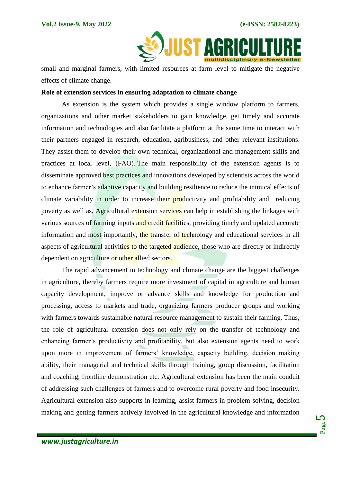

small and marginal farmers, with limited resources at farm level to mitigate the negative effects of climate change.

### **Role of extension services in ensuring adaptation to climate change**

As extension is the system which provides a single window platform to farmers, organizations and other market stakeholders to gain knowledge, get timely and accurate information and technologies and also facilitate a platform at the same time to interact with their partners engaged in research, education, agribusiness, and other relevant institutions. They assist them to develop their own technical, organizational and management skills and practices at local level, (FAO). The main responsibility of the extension agents is to disseminate approved best practices and innovations developed by scientists across the world to enhance farmer's adaptive capacity and building resilience to reduce the inimical effects of climate variability in order to increase their productivity and profitability and reducing poverty as well as. Agricultural extension services can help in establishing the linkages with various sources of farming inputs and credit facilities, providing timely and updated accurate information and most importantly, the transfer of technology and educational services in all aspects of agricultural activities to the targeted audience, those who are directly or indirectly dependent on agriculture or other allied sectors.

The rapid advancement in technology and climate change are the biggest challenges in agriculture, thereby farmers require more investment of capital in agriculture and human capacity development, improve or advance skills and knowledge for production and processing, access to markets and trade, organizing farmers producer groups and working with farmers towards sustainable natural resource management to sustain their farming. Thus, the role of agricultural extension does not only rely on the transfer of technology and enhancing farmer's productivity and profitability, but also extension agents need to work upon more in improvement of farmers' knowledge, capacity building, decision making ability, their managerial and technical skills through training, group discussion, facilitation and coaching, frontline demonstration etc. Agricultural extension has been the main conduit of addressing such challenges of farmers and to overcome rural poverty and food insecurity. Agricultural extension also supports in learning, assist farmers in problem-solving, decision making and getting farmers actively involved in the agricultural knowledge and information